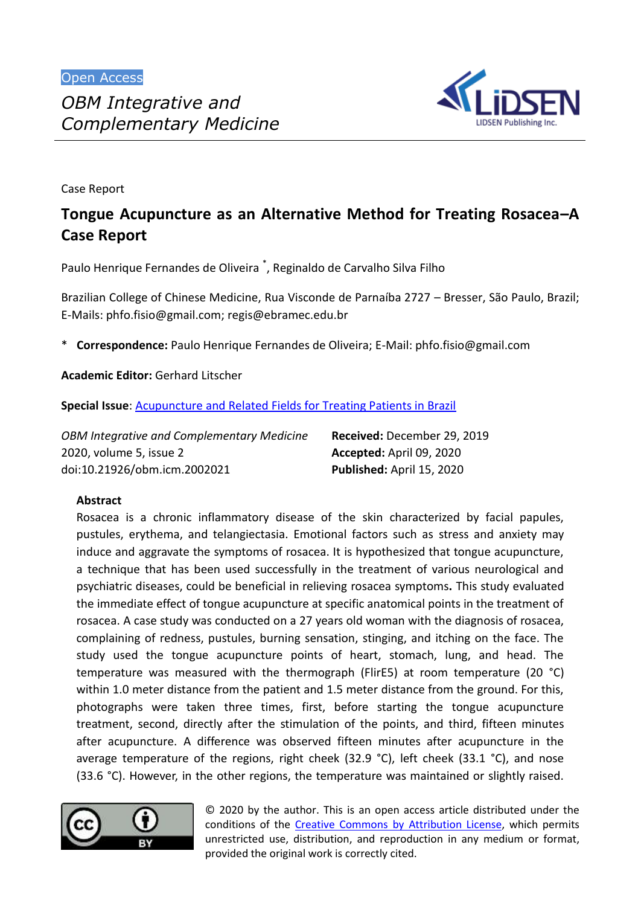

Case Report

# **Tongue Acupuncture as an Alternative Method for Treating Rosacea–A Case Report**

Paulo Henrique Fernandes de Oliveira<sup>\*</sup>, Reginaldo de Carvalho Silva Filho

Brazilian College of Chinese Medicine, Rua Visconde de Parnaíba 2727 – Bresser, São Paulo, Brazil; E-Mails: [phfo.fisio@gmail.com;](mailto:phfo.fisio@gmail.com) [regis@ebramec.edu.br](mailto:regis@ebramec.edu.br)

\* **Correspondence:** Paulo Henrique Fernandes de Oliveira; E-Mail: [phfo.fisio@gmail.com](mailto:phfo.fisio@gmail.com)

**Academic Editor:** Gerhard Litscher

**Special Issue**: [Acupuncture and Related Fields for Treating Patients in Brazil](http://www.lidsen.com/journals/icm/icm-special-issues/New-Relat-Fields-Treat-Patients-Brazil)

| <b>OBM Integrative and Complementary Medicine</b> | Received: December 29, 2019 |
|---------------------------------------------------|-----------------------------|
| 2020, volume 5, issue 2                           | Accepted: April 09, 2020    |
| doi:10.21926/obm.icm.2002021                      | Published: April 15, 2020   |

## **Abstract**

Rosacea is a chronic inflammatory disease of the skin characterized by facial papules, pustules, erythema, and telangiectasia. Emotional factors such as stress and anxiety may induce and aggravate the symptoms of rosacea. It is hypothesized that tongue acupuncture, a technique that has been used successfully in the treatment of various neurological and psychiatric diseases, could be beneficial in relieving rosacea symptoms**.** This study evaluated the immediate effect of tongue acupuncture at specific anatomical points in the treatment of rosacea. A case study was conducted on a 27 years old woman with the diagnosis of rosacea, complaining of redness, pustules, burning sensation, stinging, and itching on the face. The study used the tongue acupuncture points of heart, stomach, lung, and head. The temperature was measured with the thermograph (FlirE5) at room temperature (20 °C) within 1.0 meter distance from the patient and 1.5 meter distance from the ground. For this, photographs were taken three times, first, before starting the tongue acupuncture treatment, second, directly after the stimulation of the points, and third, fifteen minutes after acupuncture. A difference was observed fifteen minutes after acupuncture in the average temperature of the regions, right cheek (32.9 °C), left cheek (33.1 °C), and nose (33.6 °C). However, in the other regions, the temperature was maintained or slightly raised.



© 2020 by the author. This is an open access article distributed under the conditions of the [Creative Commons by Attribution License,](http://creativecommons.org/licenses/by/4.0/) which permits unrestricted use, distribution, and reproduction in any medium or format, provided the original work is correctly cited.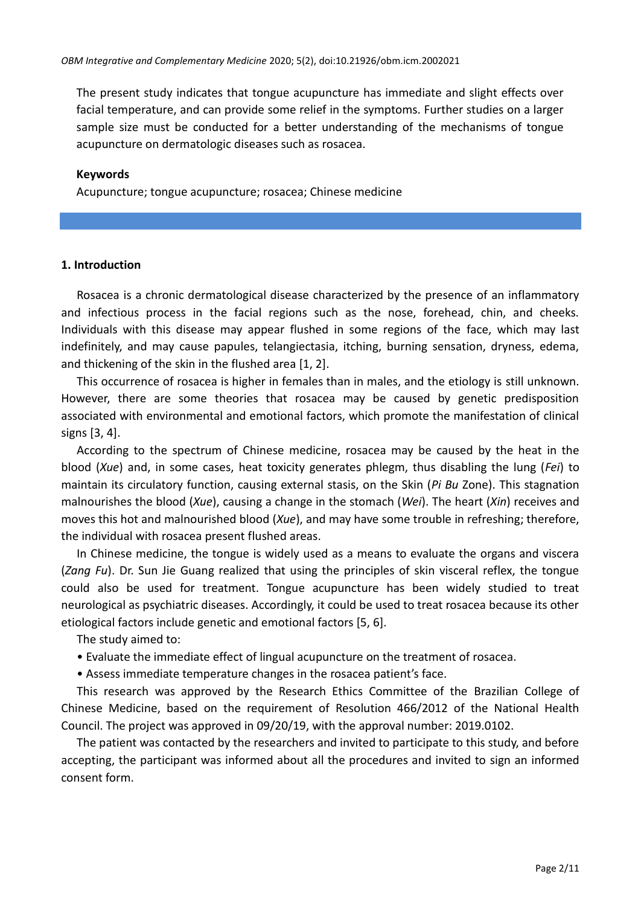The present study indicates that tongue acupuncture has immediate and slight effects over facial temperature, and can provide some relief in the symptoms. Further studies on a larger sample size must be conducted for a better understanding of the mechanisms of tongue acupuncture on dermatologic diseases such as rosacea.

#### **Keywords**

Acupuncture; tongue acupuncture; rosacea; Chinese medicine

#### **1. Introduction**

Rosacea is a chronic dermatological disease characterized by the presence of an inflammatory and infectious process in the facial regions such as the nose, forehead, chin, and cheeks. Individuals with this disease may appear flushed in some regions of the face, which may last indefinitely, and may cause papules, telangiectasia, itching, burning sensation, dryness, edema, and thickening of the skin in the flushed area  $[1, 2].$ 

This occurrence of rosacea is higher in females than in males, and the etiology is still unknown. However, there are some theories that rosacea may be caused by genetic predisposition associated with environmental and emotional factors, which promote the manifestation of clinical signs  $[3, 4]$ .

According to the spectrum of Chinese medicine, rosacea may be caused by the heat in the blood (*Xue*) and, in some cases, heat toxicity generates phlegm, thus disabling the lung (*Fei*) to maintain its circulatory function, causing external stasis, on the Skin (*Pi Bu* Zone). This stagnation malnourishes the blood (*Xue*), causing a change in the stomach (*Wei*). The heart (*Xin*) receives and moves this hot and malnourished blood (*Xue*), and may have some trouble in refreshing; therefore, the individual with rosacea present flushed areas.

In Chinese medicine, the tongue is widely used as a means to evaluate the organs and viscera (*Zang Fu*). Dr. Sun Jie Guang realized that using the principles of skin visceral reflex, the tongue could also be used for treatment. Tongue acupuncture has been widely studied to treat neurological as psychiatric diseases. Accordingly, it could be used to treat rosacea because its other etiological factors include genetic and emotional factors [5, 6].

The study aimed to:

- Evaluate the immediate effect of lingual acupuncture on the treatment of rosacea.
- Assess immediate temperature changes in the rosacea patient's face.

This research was approved by the Research Ethics Committee of the Brazilian College of Chinese Medicine, based on the requirement of Resolution 466/2012 of the National Health Council. The project was approved in 09/20/19, with the approval number: 2019.0102.

The patient was contacted by the researchers and invited to participate to this study, and before accepting, the participant was informed about all the procedures and invited to sign an informed consent form.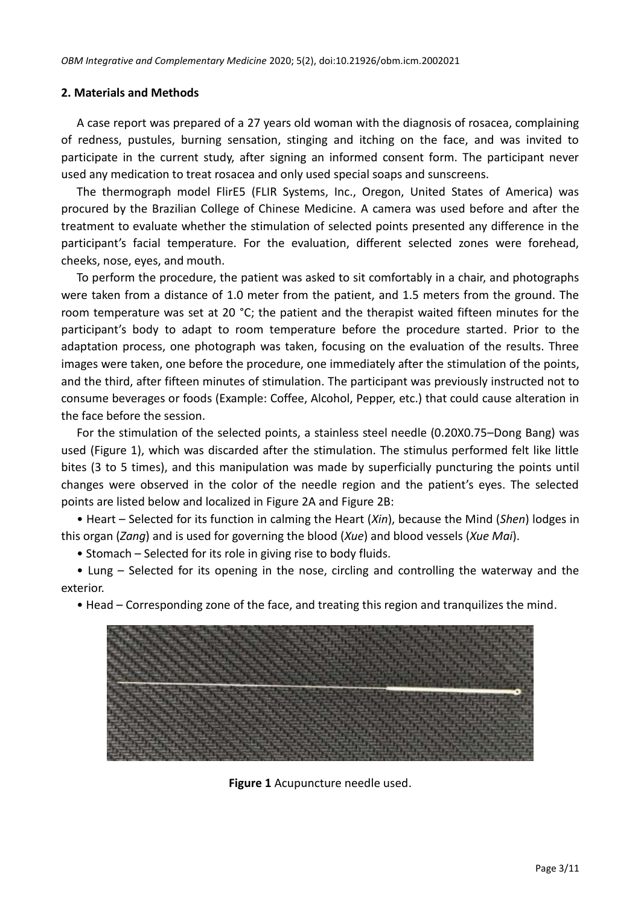#### **2. Materials and Methods**

A case report was prepared of a 27 years old woman with the diagnosis of rosacea, complaining of redness, pustules, burning sensation, stinging and itching on the face, and was invited to participate in the current study, after signing an informed consent form. The participant never used any medication to treat rosacea and only used special soaps and sunscreens.

The thermograph model FlirE5 (FLIR Systems, Inc., Oregon, United States of America) was procured by the Brazilian College of Chinese Medicine. A camera was used before and after the treatment to evaluate whether the stimulation of selected points presented any difference in the participant's facial temperature. For the evaluation, different selected zones were forehead, cheeks, nose, eyes, and mouth.

To perform the procedure, the patient was asked to sit comfortably in a chair, and photographs were taken from a distance of 1.0 meter from the patient, and 1.5 meters from the ground. The room temperature was set at 20 °C; the patient and the therapist waited fifteen minutes for the participant's body to adapt to room temperature before the procedure started. Prior to the adaptation process, one photograph was taken, focusing on the evaluation of the results. Three images were taken, one before the procedure, one immediately after the stimulation of the points, and the third, after fifteen minutes of stimulation. The participant was previously instructed not to consume beverages or foods (Example: Coffee, Alcohol, Pepper, etc.) that could cause alteration in the face before the session.

For the stimulation of the selected points, a stainless steel needle (0.20X0.75–Dong Bang) was used (Figure 1), which was discarded after the stimulation. The stimulus performed felt like little bites (3 to 5 times), and this manipulation was made by superficially puncturing the points until changes were observed in the color of the needle region and the patient's eyes. The selected points are listed below and localized in Figure 2A and Figure 2B:

• Heart – Selected for its function in calming the Heart (*Xin*), because the Mind (*Shen*) lodges in this organ (*Zang*) and is used for governing the blood (*Xue*) and blood vessels (*Xue Mai*).

• Stomach – Selected for its role in giving rise to body fluids.

• Lung – Selected for its opening in the nose, circling and controlling the waterway and the exterior.

• Head – Corresponding zone of the face, and treating this region and tranquilizes the mind.



**Figure 1** Acupuncture needle used.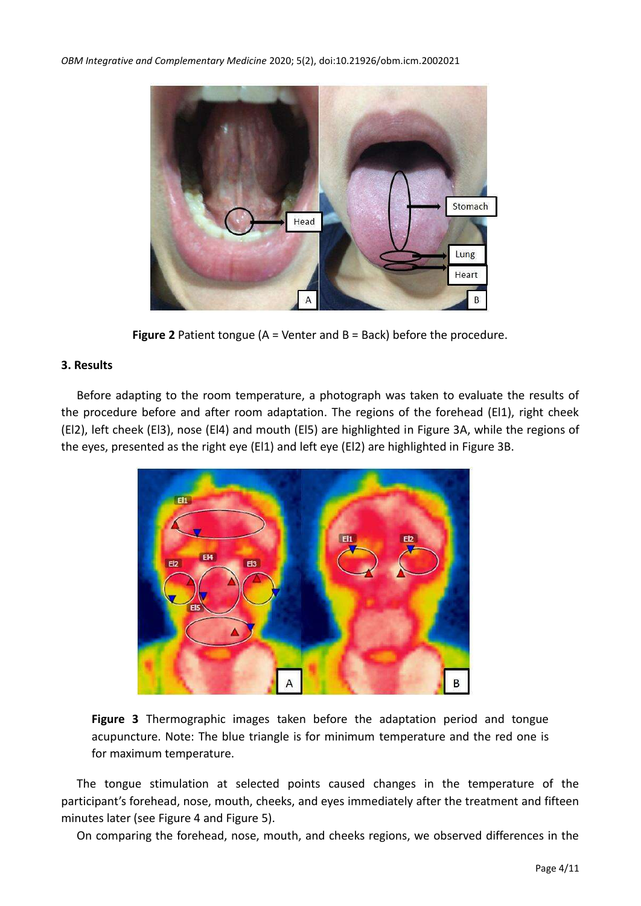

**Figure 2** Patient tongue (A = Venter and B = Back) before the procedure.

## **3. Results**

Before adapting to the room temperature, a photograph was taken to evaluate the results of the procedure before and after room adaptation. The regions of the forehead (El1), right cheek (El2), left cheek (El3), nose (El4) and mouth (El5) are highlighted in Figure 3A, while the regions of the eyes, presented as the right eye (El1) and left eye (El2) are highlighted in Figure 3B.



**Figure 3** Thermographic images taken before the adaptation period and tongue acupuncture. Note: The blue triangle is for minimum temperature and the red one is for maximum temperature.

The tongue stimulation at selected points caused changes in the temperature of the participant's forehead, nose, mouth, cheeks, and eyes immediately after the treatment and fifteen minutes later (see Figure 4 and Figure 5).

On comparing the forehead, nose, mouth, and cheeks regions, we observed differences in the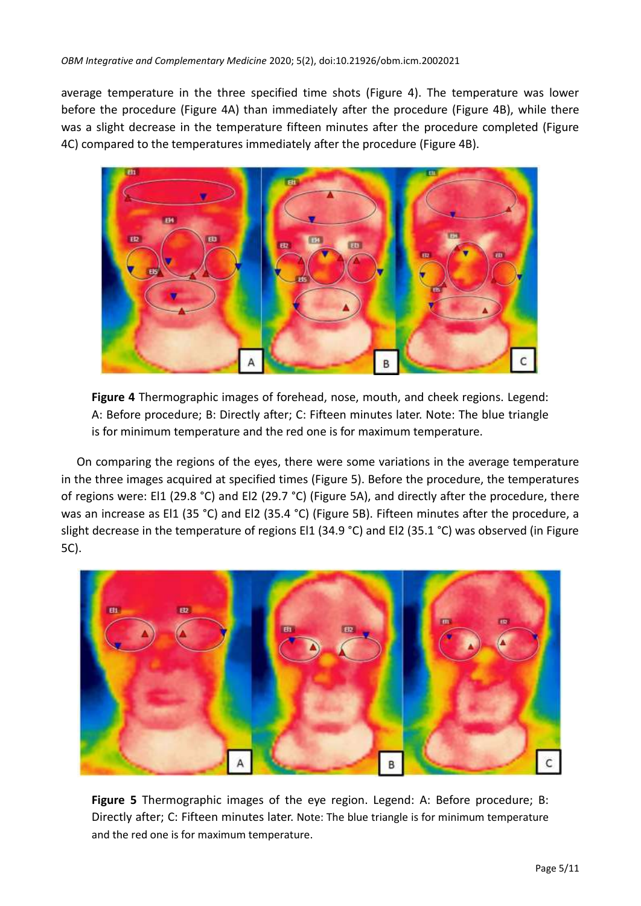average temperature in the three specified time shots (Figure 4). The temperature was lower before the procedure (Figure 4A) than immediately after the procedure (Figure 4B), while there was a slight decrease in the temperature fifteen minutes after the procedure completed (Figure 4C) compared to the temperatures immediately after the procedure (Figure 4B).



**Figure 4** Thermographic images of forehead, nose, mouth, and cheek regions. Legend: A: Before procedure; B: Directly after; C: Fifteen minutes later. Note: The blue triangle is for minimum temperature and the red one is for maximum temperature.

On comparing the regions of the eyes, there were some variations in the average temperature in the three images acquired at specified times (Figure 5). Before the procedure, the temperatures of regions were: El1 (29.8 °C) and El2 (29.7 °C) (Figure 5A), and directly after the procedure, there was an increase as El1 (35 °C) and El2 (35.4 °C) (Figure 5B). Fifteen minutes after the procedure, a slight decrease in the temperature of regions El1 (34.9 °C) and El2 (35.1 °C) was observed (in Figure 5C).



**Figure 5** Thermographic images of the eye region. Legend: A: Before procedure; B: Directly after; C: Fifteen minutes later. Note: The blue triangle is for minimum temperature and the red one is for maximum temperature.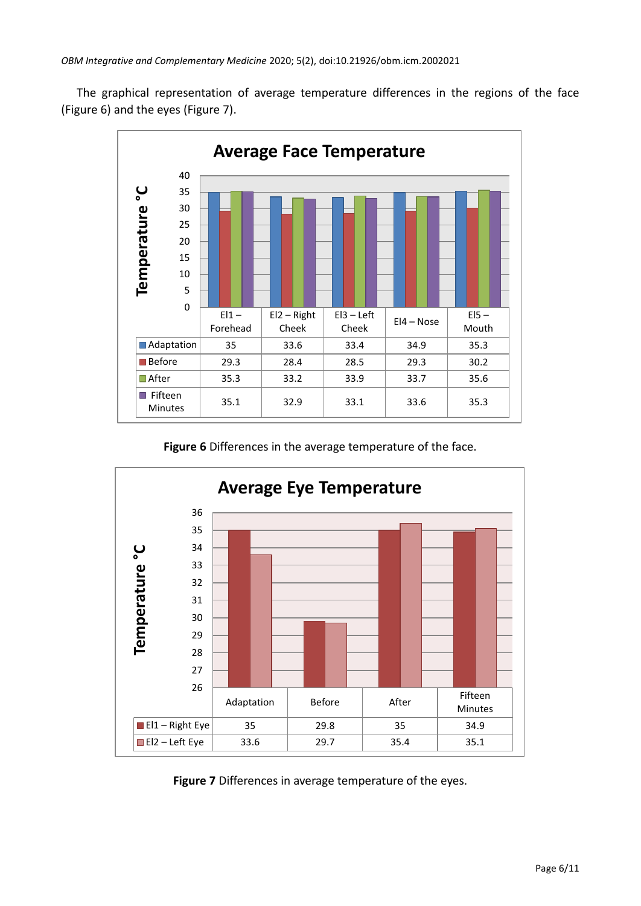The graphical representation of average temperature differences in the regions of the face (Figure 6) and the eyes (Figure 7).



**Figure 6** Differences in the average temperature of the face.



**Figure 7** Differences in average temperature of the eyes.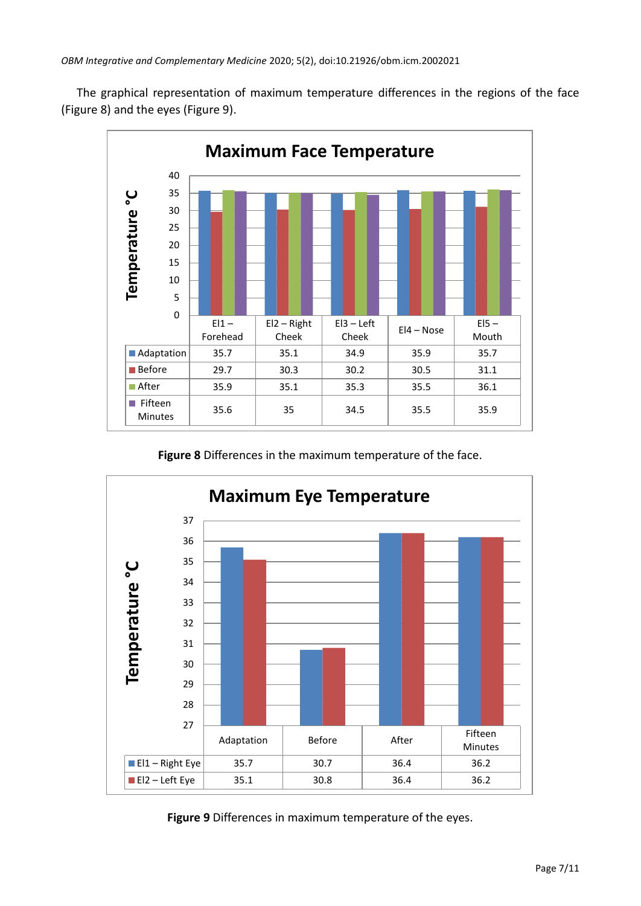The graphical representation of maximum temperature differences in the regions of the face (Figure 8) and the eyes (Figure 9).



**Figure 8** Differences in the maximum temperature of the face.



**Figure 9** Differences in maximum temperature of the eyes.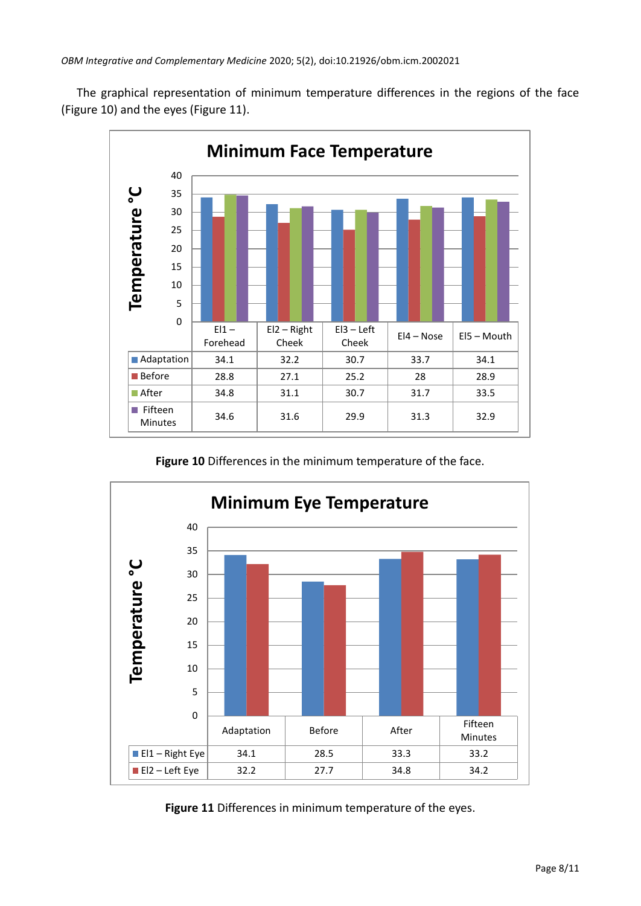The graphical representation of minimum temperature differences in the regions of the face (Figure 10) and the eyes (Figure 11).



**Figure 10** Differences in the minimum temperature of the face.



**Figure 11** Differences in minimum temperature of the eyes.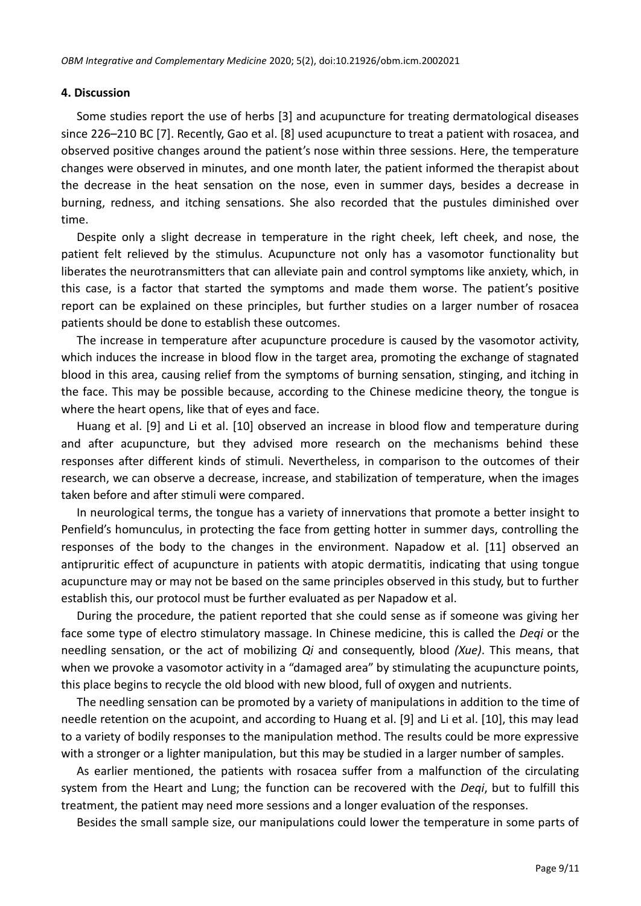#### **4. Discussion**

Some studies report the use of herbs [3] and acupuncture for treating dermatological diseases since 226–210 BC [7]. Recently, Gao et al.  $[8]$  used acupuncture to treat a patient with rosacea, and observed positive changes around the patient's nose within three sessions. Here, the temperature changes were observed in minutes, and one month later, the patient informed the therapist about the decrease in the heat sensation on the nose, even in summer days, besides a decrease in burning, redness, and itching sensations. She also recorded that the pustules diminished over time.

Despite only a slight decrease in temperature in the right cheek, left cheek, and nose, the patient felt relieved by the stimulus. Acupuncture not only has a vasomotor functionality but liberates the neurotransmitters that can alleviate pain and control symptoms like anxiety, which, in this case, is a factor that started the symptoms and made them worse. The patient's positive report can be explained on these principles, but further studies on a larger number of rosacea patients should be done to establish these outcomes.

The increase in temperature after acupuncture procedure is caused by the vasomotor activity, which induces the increase in blood flow in the target area, promoting the exchange of stagnated blood in this area, causing relief from the symptoms of burning sensation, stinging, and itching in the face. This may be possible because, according to the Chinese medicine theory, the tongue is where the heart opens, like that of eyes and face.

Huang et al. [9] and Li et al. [10] observed an increase in blood flow and temperature during and after acupuncture, but they advised more research on the mechanisms behind these responses after different kinds of stimuli. Nevertheless, in comparison to the outcomes of their research, we can observe a decrease, increase, and stabilization of temperature, when the images taken before and after stimuli were compared.

In neurological terms, the tongue has a variety of innervations that promote a better insight to Penfield's homunculus, in protecting the face from getting hotter in summer days, controlling the responses of the body to the changes in the environment. Napadow et al. [11] observed an antipruritic effect of acupuncture in patients with atopic dermatitis, indicating that using tongue acupuncture may or may not be based on the same principles observed in this study, but to further establish this, our protocol must be further evaluated as per Napadow et al.

During the procedure, the patient reported that she could sense as if someone was giving her face some type of electro stimulatory massage. In Chinese medicine, this is called the *Deqi* or the needling sensation, or the act of mobilizing *Qi* and consequently, blood *(Xue)*. This means, that when we provoke a vasomotor activity in a "damaged area" by stimulating the acupuncture points, this place begins to recycle the old blood with new blood, full of oxygen and nutrients.

The needling sensation can be promoted by a variety of manipulations in addition to the time of needle retention on the acupoint, and according to Huang et al. [9] and Li et al. [10], this may lead to a variety of bodily responses to the manipulation method. The results could be more expressive with a stronger or a lighter manipulation, but this may be studied in a larger number of samples.

As earlier mentioned, the patients with rosacea suffer from a malfunction of the circulating system from the Heart and Lung; the function can be recovered with the *Deqi*, but to fulfill this treatment, the patient may need more sessions and a longer evaluation of the responses.

Besides the small sample size, our manipulations could lower the temperature in some parts of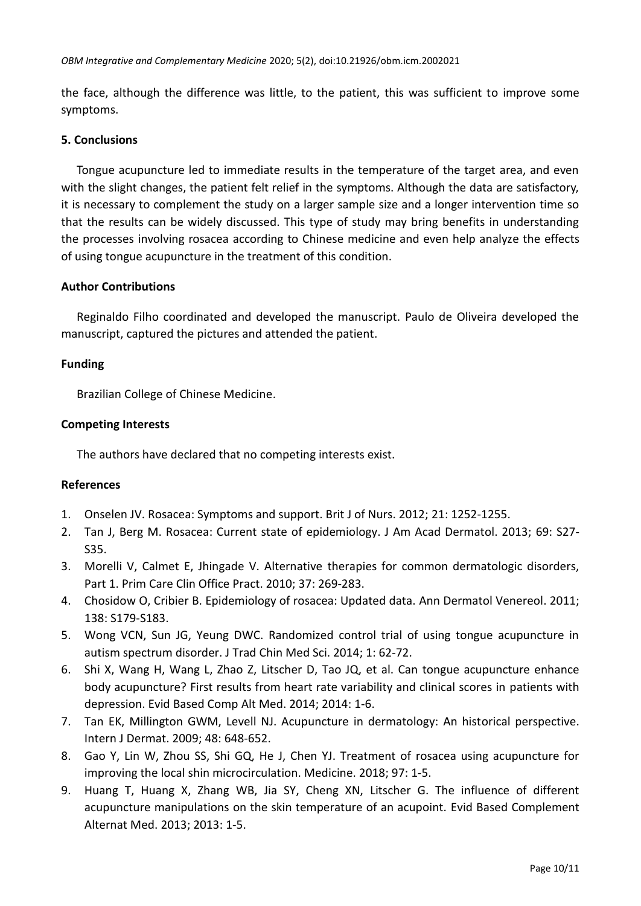the face, although the difference was little, to the patient, this was sufficient to improve some symptoms.

## **5. Conclusions**

Tongue acupuncture led to immediate results in the temperature of the target area, and even with the slight changes, the patient felt relief in the symptoms. Although the data are satisfactory, it is necessary to complement the study on a larger sample size and a longer intervention time so that the results can be widely discussed. This type of study may bring benefits in understanding the processes involving rosacea according to Chinese medicine and even help analyze the effects of using tongue acupuncture in the treatment of this condition.

## **Author Contributions**

Reginaldo Filho coordinated and developed the manuscript. Paulo de Oliveira developed the manuscript, captured the pictures and attended the patient.

# **Funding**

Brazilian College of Chinese Medicine.

# **Competing Interests**

The authors have declared that no competing interests exist.

## **References**

- 1. Onselen JV. Rosacea: Symptoms and support. Brit J of Nurs. 2012; 21: 1252-1255.
- 2. Tan J, Berg M. Rosacea: Current state of epidemiology. J Am Acad Dermatol. 2013; 69: S27- S35.
- 3. Morelli V, Calmet E, Jhingade V. Alternative therapies for common dermatologic disorders, Part 1. Prim Care Clin Office Pract. 2010; 37: 269-283.
- 4. Chosidow O, Cribier B. Epidemiology of rosacea: Updated data. Ann Dermatol Venereol. 2011; 138: S179-S183.
- 5. Wong VCN, Sun JG, Yeung DWC. Randomized control trial of using tongue acupuncture in autism spectrum disorder. J Trad Chin Med Sci. 2014; 1: 62-72.
- 6. Shi X, Wang H, Wang L, Zhao Z, Litscher D, Tao JQ, et al. Can tongue acupuncture enhance body acupuncture? First results from heart rate variability and clinical scores in patients with depression. Evid Based Comp Alt Med. 2014; 2014: 1-6.
- 7. Tan EK, Millington GWM, Levell NJ. Acupuncture in dermatology: An historical perspective. Intern J Dermat. 2009; 48: 648-652.
- 8. Gao Y, Lin W, Zhou SS, Shi GQ, He J, Chen YJ. Treatment of rosacea using acupuncture for improving the local shin microcirculation. Medicine. 2018; 97: 1-5.
- 9. Huang T, Huang X, Zhang WB, Jia SY, Cheng XN, Litscher G. The influence of different acupuncture manipulations on the skin temperature of an acupoint. Evid Based Complement Alternat Med. 2013; 2013: 1-5.